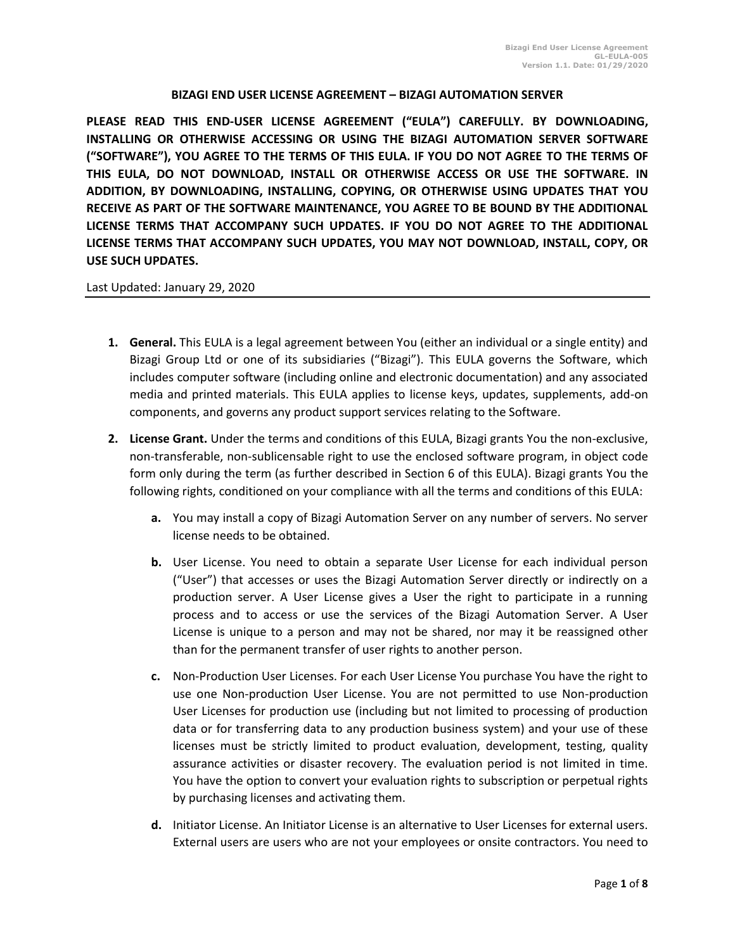## **BIZAGI END USER LICENSE AGREEMENT – BIZAGI AUTOMATION SERVER**

**PLEASE READ THIS END-USER LICENSE AGREEMENT ("EULA") CAREFULLY. BY DOWNLOADING, INSTALLING OR OTHERWISE ACCESSING OR USING THE BIZAGI AUTOMATION SERVER SOFTWARE ("SOFTWARE"), YOU AGREE TO THE TERMS OF THIS EULA. IF YOU DO NOT AGREE TO THE TERMS OF THIS EULA, DO NOT DOWNLOAD, INSTALL OR OTHERWISE ACCESS OR USE THE SOFTWARE. IN ADDITION, BY DOWNLOADING, INSTALLING, COPYING, OR OTHERWISE USING UPDATES THAT YOU RECEIVE AS PART OF THE SOFTWARE MAINTENANCE, YOU AGREE TO BE BOUND BY THE ADDITIONAL LICENSE TERMS THAT ACCOMPANY SUCH UPDATES. IF YOU DO NOT AGREE TO THE ADDITIONAL LICENSE TERMS THAT ACCOMPANY SUCH UPDATES, YOU MAY NOT DOWNLOAD, INSTALL, COPY, OR USE SUCH UPDATES.** 

## Last Updated: January 29, 2020

- **1. General.** This EULA is a legal agreement between You (either an individual or a single entity) and Bizagi Group Ltd or one of its subsidiaries ("Bizagi"). This EULA governs the Software, which includes computer software (including online and electronic documentation) and any associated media and printed materials. This EULA applies to license keys, updates, supplements, add-on components, and governs any product support services relating to the Software.
- **2. License Grant.** Under the terms and conditions of this EULA, Bizagi grants You the non-exclusive, non-transferable, non-sublicensable right to use the enclosed software program, in object code form only during the term (as further described in Section 6 of this EULA). Bizagi grants You the following rights, conditioned on your compliance with all the terms and conditions of this EULA:
	- **a.** You may install a copy of Bizagi Automation Server on any number of servers. No server license needs to be obtained.
	- **b.** User License. You need to obtain a separate User License for each individual person ("User") that accesses or uses the Bizagi Automation Server directly or indirectly on a production server. A User License gives a User the right to participate in a running process and to access or use the services of the Bizagi Automation Server. A User License is unique to a person and may not be shared, nor may it be reassigned other than for the permanent transfer of user rights to another person.
	- **c.** Non-Production User Licenses. For each User License You purchase You have the right to use one Non-production User License. You are not permitted to use Non-production User Licenses for production use (including but not limited to processing of production data or for transferring data to any production business system) and your use of these licenses must be strictly limited to product evaluation, development, testing, quality assurance activities or disaster recovery. The evaluation period is not limited in time. You have the option to convert your evaluation rights to subscription or perpetual rights by purchasing licenses and activating them.
	- **d.** Initiator License. An Initiator License is an alternative to User Licenses for external users. External users are users who are not your employees or onsite contractors. You need to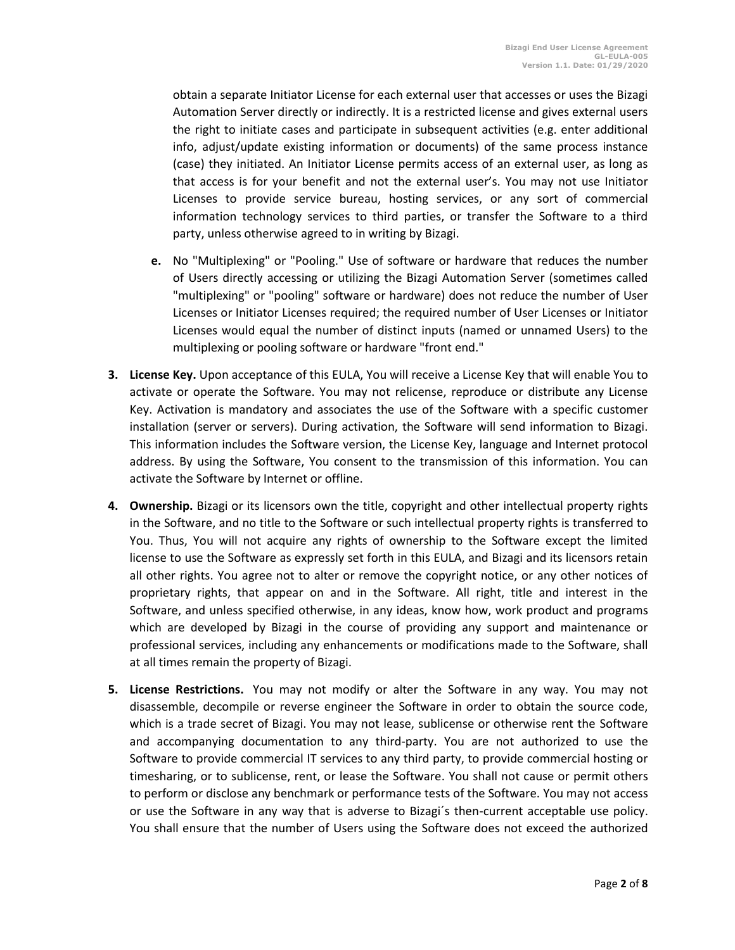obtain a separate Initiator License for each external user that accesses or uses the Bizagi Automation Server directly or indirectly. It is a restricted license and gives external users the right to initiate cases and participate in subsequent activities (e.g. enter additional info, adjust/update existing information or documents) of the same process instance (case) they initiated. An Initiator License permits access of an external user, as long as that access is for your benefit and not the external user's. You may not use Initiator Licenses to provide service bureau, hosting services, or any sort of commercial information technology services to third parties, or transfer the Software to a third party, unless otherwise agreed to in writing by Bizagi.

- **e.** No "Multiplexing" or "Pooling." Use of software or hardware that reduces the number of Users directly accessing or utilizing the Bizagi Automation Server (sometimes called "multiplexing" or "pooling" software or hardware) does not reduce the number of User Licenses or Initiator Licenses required; the required number of User Licenses or Initiator Licenses would equal the number of distinct inputs (named or unnamed Users) to the multiplexing or pooling software or hardware "front end."
- **3. License Key.** Upon acceptance of this EULA, You will receive a License Key that will enable You to activate or operate the Software. You may not relicense, reproduce or distribute any License Key. Activation is mandatory and associates the use of the Software with a specific customer installation (server or servers). During activation, the Software will send information to Bizagi. This information includes the Software version, the License Key, language and Internet protocol address. By using the Software, You consent to the transmission of this information. You can activate the Software by Internet or offline.
- **4. Ownership.** Bizagi or its licensors own the title, copyright and other intellectual property rights in the Software, and no title to the Software or such intellectual property rights is transferred to You. Thus, You will not acquire any rights of ownership to the Software except the limited license to use the Software as expressly set forth in this EULA, and Bizagi and its licensors retain all other rights. You agree not to alter or remove the copyright notice, or any other notices of proprietary rights, that appear on and in the Software. All right, title and interest in the Software, and unless specified otherwise, in any ideas, know how, work product and programs which are developed by Bizagi in the course of providing any support and maintenance or professional services, including any enhancements or modifications made to the Software, shall at all times remain the property of Bizagi.
- **5. License Restrictions.** You may not modify or alter the Software in any way. You may not disassemble, decompile or reverse engineer the Software in order to obtain the source code, which is a trade secret of Bizagi. You may not lease, sublicense or otherwise rent the Software and accompanying documentation to any third-party. You are not authorized to use the Software to provide commercial IT services to any third party, to provide commercial hosting or timesharing, or to sublicense, rent, or lease the Software. You shall not cause or permit others to perform or disclose any benchmark or performance tests of the Software. You may not access or use the Software in any way that is adverse to Bizagi´s then-current acceptable use policy. You shall ensure that the number of Users using the Software does not exceed the authorized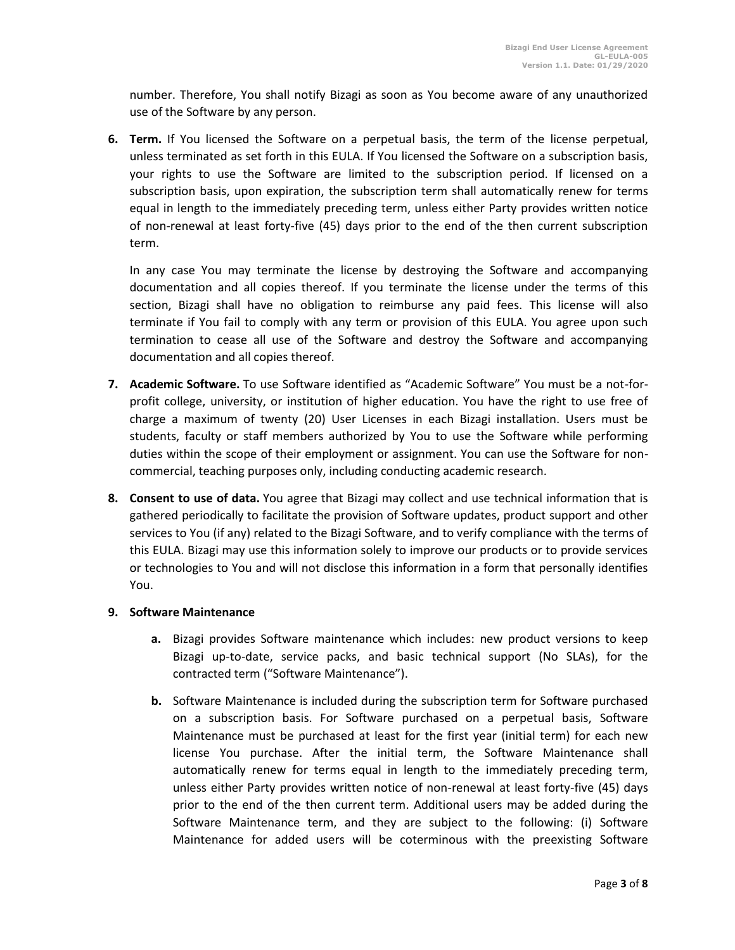number. Therefore, You shall notify Bizagi as soon as You become aware of any unauthorized use of the Software by any person.

**6. Term.** If You licensed the Software on a perpetual basis, the term of the license perpetual, unless terminated as set forth in this EULA. If You licensed the Software on a subscription basis, your rights to use the Software are limited to the subscription period. If licensed on a subscription basis, upon expiration, the subscription term shall automatically renew for terms equal in length to the immediately preceding term, unless either Party provides written notice of non-renewal at least forty-five (45) days prior to the end of the then current subscription term.

In any case You may terminate the license by destroying the Software and accompanying documentation and all copies thereof. If you terminate the license under the terms of this section, Bizagi shall have no obligation to reimburse any paid fees. This license will also terminate if You fail to comply with any term or provision of this EULA. You agree upon such termination to cease all use of the Software and destroy the Software and accompanying documentation and all copies thereof.

- **7. Academic Software.** To use Software identified as "Academic Software" You must be a not-forprofit college, university, or institution of higher education. You have the right to use free of charge a maximum of twenty (20) User Licenses in each Bizagi installation. Users must be students, faculty or staff members authorized by You to use the Software while performing duties within the scope of their employment or assignment. You can use the Software for noncommercial, teaching purposes only, including conducting academic research.
- **8. Consent to use of data.** You agree that Bizagi may collect and use technical information that is gathered periodically to facilitate the provision of Software updates, product support and other services to You (if any) related to the Bizagi Software, and to verify compliance with the terms of this EULA. Bizagi may use this information solely to improve our products or to provide services or technologies to You and will not disclose this information in a form that personally identifies You.

## **9. Software Maintenance**

- **a.** Bizagi provides Software maintenance which includes: new product versions to keep Bizagi up-to-date, service packs, and basic technical support (No SLAs), for the contracted term ("Software Maintenance").
- **b.** Software Maintenance is included during the subscription term for Software purchased on a subscription basis. For Software purchased on a perpetual basis, Software Maintenance must be purchased at least for the first year (initial term) for each new license You purchase. After the initial term, the Software Maintenance shall automatically renew for terms equal in length to the immediately preceding term, unless either Party provides written notice of non-renewal at least forty-five (45) days prior to the end of the then current term. Additional users may be added during the Software Maintenance term, and they are subject to the following: (i) Software Maintenance for added users will be coterminous with the preexisting Software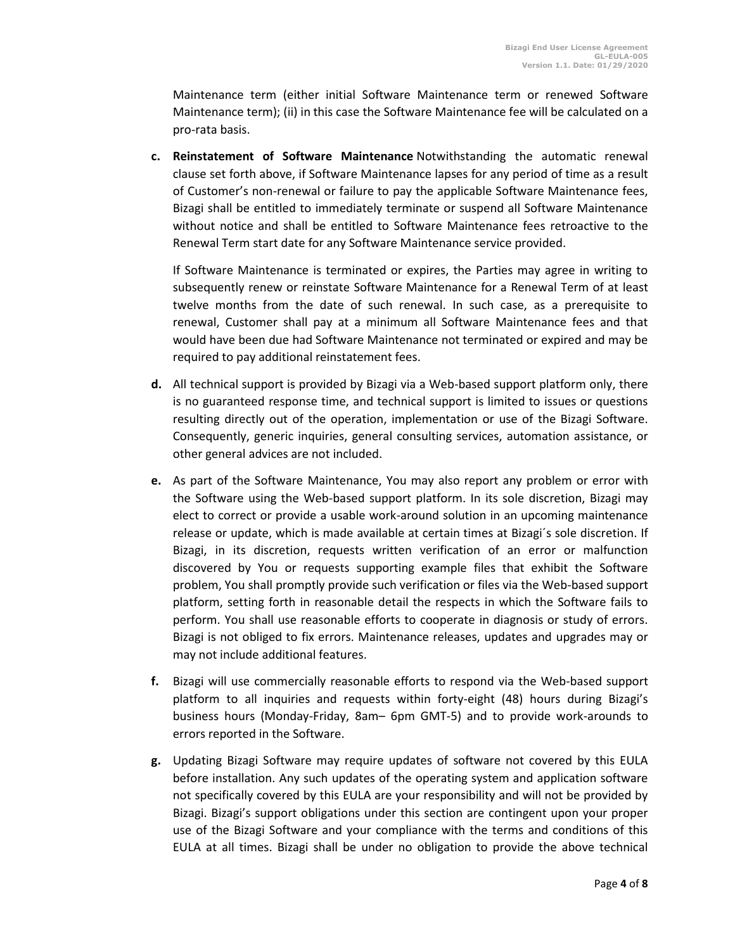Maintenance term (either initial Software Maintenance term or renewed Software Maintenance term); (ii) in this case the Software Maintenance fee will be calculated on a pro-rata basis.

**c. Reinstatement of Software Maintenance** Notwithstanding the automatic renewal clause set forth above, if Software Maintenance lapses for any period of time as a result of Customer's non-renewal or failure to pay the applicable Software Maintenance fees, Bizagi shall be entitled to immediately terminate or suspend all Software Maintenance without notice and shall be entitled to Software Maintenance fees retroactive to the Renewal Term start date for any Software Maintenance service provided.

If Software Maintenance is terminated or expires, the Parties may agree in writing to subsequently renew or reinstate Software Maintenance for a Renewal Term of at least twelve months from the date of such renewal. In such case, as a prerequisite to renewal, Customer shall pay at a minimum all Software Maintenance fees and that would have been due had Software Maintenance not terminated or expired and may be required to pay additional reinstatement fees.

- **d.** All technical support is provided by Bizagi via a Web-based support platform only, there is no guaranteed response time, and technical support is limited to issues or questions resulting directly out of the operation, implementation or use of the Bizagi Software. Consequently, generic inquiries, general consulting services, automation assistance, or other general advices are not included.
- **e.** As part of the Software Maintenance, You may also report any problem or error with the Software using the Web-based support platform. In its sole discretion, Bizagi may elect to correct or provide a usable work-around solution in an upcoming maintenance release or update, which is made available at certain times at Bizagi´s sole discretion. If Bizagi, in its discretion, requests written verification of an error or malfunction discovered by You or requests supporting example files that exhibit the Software problem, You shall promptly provide such verification or files via the Web-based support platform, setting forth in reasonable detail the respects in which the Software fails to perform. You shall use reasonable efforts to cooperate in diagnosis or study of errors. Bizagi is not obliged to fix errors. Maintenance releases, updates and upgrades may or may not include additional features.
- **f.** Bizagi will use commercially reasonable efforts to respond via the Web-based support platform to all inquiries and requests within forty-eight (48) hours during Bizagi's business hours (Monday-Friday, 8am– 6pm GMT-5) and to provide work-arounds to errors reported in the Software.
- **g.** Updating Bizagi Software may require updates of software not covered by this EULA before installation. Any such updates of the operating system and application software not specifically covered by this EULA are your responsibility and will not be provided by Bizagi. Bizagi's support obligations under this section are contingent upon your proper use of the Bizagi Software and your compliance with the terms and conditions of this EULA at all times. Bizagi shall be under no obligation to provide the above technical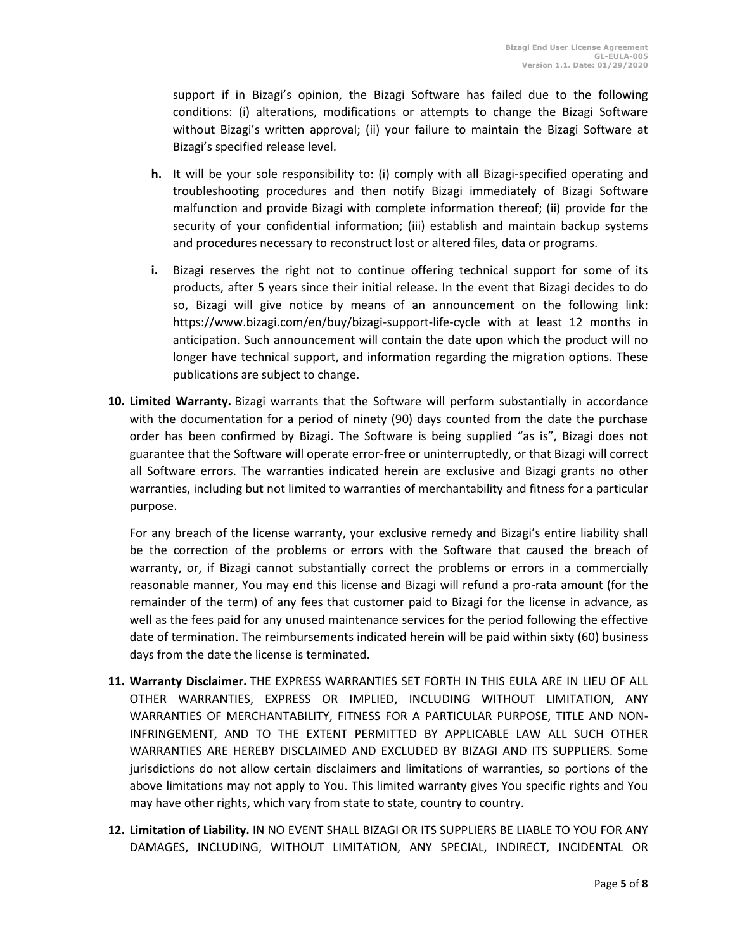support if in Bizagi's opinion, the Bizagi Software has failed due to the following conditions: (i) alterations, modifications or attempts to change the Bizagi Software without Bizagi's written approval; (ii) your failure to maintain the Bizagi Software at Bizagi's specified release level.

- **h.** It will be your sole responsibility to: (i) comply with all Bizagi-specified operating and troubleshooting procedures and then notify Bizagi immediately of Bizagi Software malfunction and provide Bizagi with complete information thereof; (ii) provide for the security of your confidential information; (iii) establish and maintain backup systems and procedures necessary to reconstruct lost or altered files, data or programs.
- **i.** Bizagi reserves the right not to continue offering technical support for some of its products, after 5 years since their initial release. In the event that Bizagi decides to do so, Bizagi will give notice by means of an announcement on the following link: https://www.bizagi.com/en/buy/bizagi-support-life-cycle with at least 12 months in anticipation. Such announcement will contain the date upon which the product will no longer have technical support, and information regarding the migration options. These publications are subject to change.
- **10. Limited Warranty.** Bizagi warrants that the Software will perform substantially in accordance with the documentation for a period of ninety (90) days counted from the date the purchase order has been confirmed by Bizagi. The Software is being supplied "as is", Bizagi does not guarantee that the Software will operate error-free or uninterruptedly, or that Bizagi will correct all Software errors. The warranties indicated herein are exclusive and Bizagi grants no other warranties, including but not limited to warranties of merchantability and fitness for a particular purpose.

For any breach of the license warranty, your exclusive remedy and Bizagi's entire liability shall be the correction of the problems or errors with the Software that caused the breach of warranty, or, if Bizagi cannot substantially correct the problems or errors in a commercially reasonable manner, You may end this license and Bizagi will refund a pro-rata amount (for the remainder of the term) of any fees that customer paid to Bizagi for the license in advance, as well as the fees paid for any unused maintenance services for the period following the effective date of termination. The reimbursements indicated herein will be paid within sixty (60) business days from the date the license is terminated.

- **11. Warranty Disclaimer.** THE EXPRESS WARRANTIES SET FORTH IN THIS EULA ARE IN LIEU OF ALL OTHER WARRANTIES, EXPRESS OR IMPLIED, INCLUDING WITHOUT LIMITATION, ANY WARRANTIES OF MERCHANTABILITY, FITNESS FOR A PARTICULAR PURPOSE, TITLE AND NON-INFRINGEMENT, AND TO THE EXTENT PERMITTED BY APPLICABLE LAW ALL SUCH OTHER WARRANTIES ARE HEREBY DISCLAIMED AND EXCLUDED BY BIZAGI AND ITS SUPPLIERS. Some jurisdictions do not allow certain disclaimers and limitations of warranties, so portions of the above limitations may not apply to You. This limited warranty gives You specific rights and You may have other rights, which vary from state to state, country to country.
- **12. Limitation of Liability.** IN NO EVENT SHALL BIZAGI OR ITS SUPPLIERS BE LIABLE TO YOU FOR ANY DAMAGES, INCLUDING, WITHOUT LIMITATION, ANY SPECIAL, INDIRECT, INCIDENTAL OR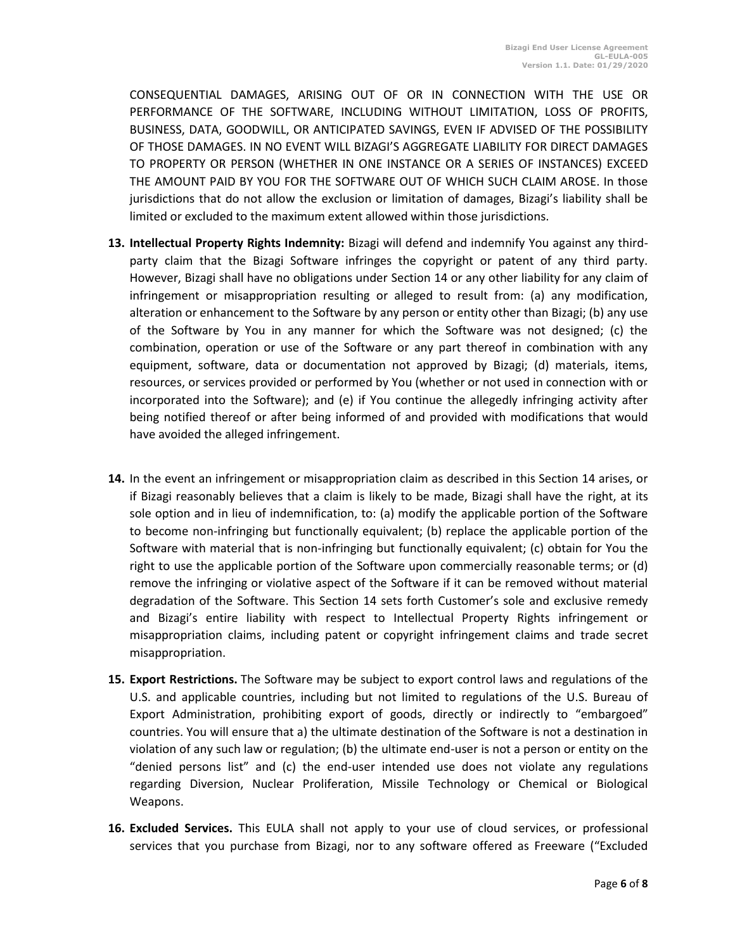CONSEQUENTIAL DAMAGES, ARISING OUT OF OR IN CONNECTION WITH THE USE OR PERFORMANCE OF THE SOFTWARE, INCLUDING WITHOUT LIMITATION, LOSS OF PROFITS, BUSINESS, DATA, GOODWILL, OR ANTICIPATED SAVINGS, EVEN IF ADVISED OF THE POSSIBILITY OF THOSE DAMAGES. IN NO EVENT WILL BIZAGI'S AGGREGATE LIABILITY FOR DIRECT DAMAGES TO PROPERTY OR PERSON (WHETHER IN ONE INSTANCE OR A SERIES OF INSTANCES) EXCEED THE AMOUNT PAID BY YOU FOR THE SOFTWARE OUT OF WHICH SUCH CLAIM AROSE. In those jurisdictions that do not allow the exclusion or limitation of damages, Bizagi's liability shall be limited or excluded to the maximum extent allowed within those jurisdictions.

- **13. Intellectual Property Rights Indemnity:** Bizagi will defend and indemnify You against any thirdparty claim that the Bizagi Software infringes the copyright or patent of any third party. However, Bizagi shall have no obligations under Section 14 or any other liability for any claim of infringement or misappropriation resulting or alleged to result from: (a) any modification, alteration or enhancement to the Software by any person or entity other than Bizagi; (b) any use of the Software by You in any manner for which the Software was not designed; (c) the combination, operation or use of the Software or any part thereof in combination with any equipment, software, data or documentation not approved by Bizagi; (d) materials, items, resources, or services provided or performed by You (whether or not used in connection with or incorporated into the Software); and (e) if You continue the allegedly infringing activity after being notified thereof or after being informed of and provided with modifications that would have avoided the alleged infringement.
- **14.** In the event an infringement or misappropriation claim as described in this Section 14 arises, or if Bizagi reasonably believes that a claim is likely to be made, Bizagi shall have the right, at its sole option and in lieu of indemnification, to: (a) modify the applicable portion of the Software to become non-infringing but functionally equivalent; (b) replace the applicable portion of the Software with material that is non-infringing but functionally equivalent; (c) obtain for You the right to use the applicable portion of the Software upon commercially reasonable terms; or (d) remove the infringing or violative aspect of the Software if it can be removed without material degradation of the Software. This Section 14 sets forth Customer's sole and exclusive remedy and Bizagi's entire liability with respect to Intellectual Property Rights infringement or misappropriation claims, including patent or copyright infringement claims and trade secret misappropriation.
- **15. Export Restrictions.** The Software may be subject to export control laws and regulations of the U.S. and applicable countries, including but not limited to regulations of the U.S. Bureau of Export Administration, prohibiting export of goods, directly or indirectly to "embargoed" countries. You will ensure that a) the ultimate destination of the Software is not a destination in violation of any such law or regulation; (b) the ultimate end-user is not a person or entity on the "denied persons list" and (c) the end-user intended use does not violate any regulations regarding Diversion, Nuclear Proliferation, Missile Technology or Chemical or Biological Weapons.
- **16. Excluded Services.** This EULA shall not apply to your use of cloud services, or professional services that you purchase from Bizagi, nor to any software offered as Freeware ("Excluded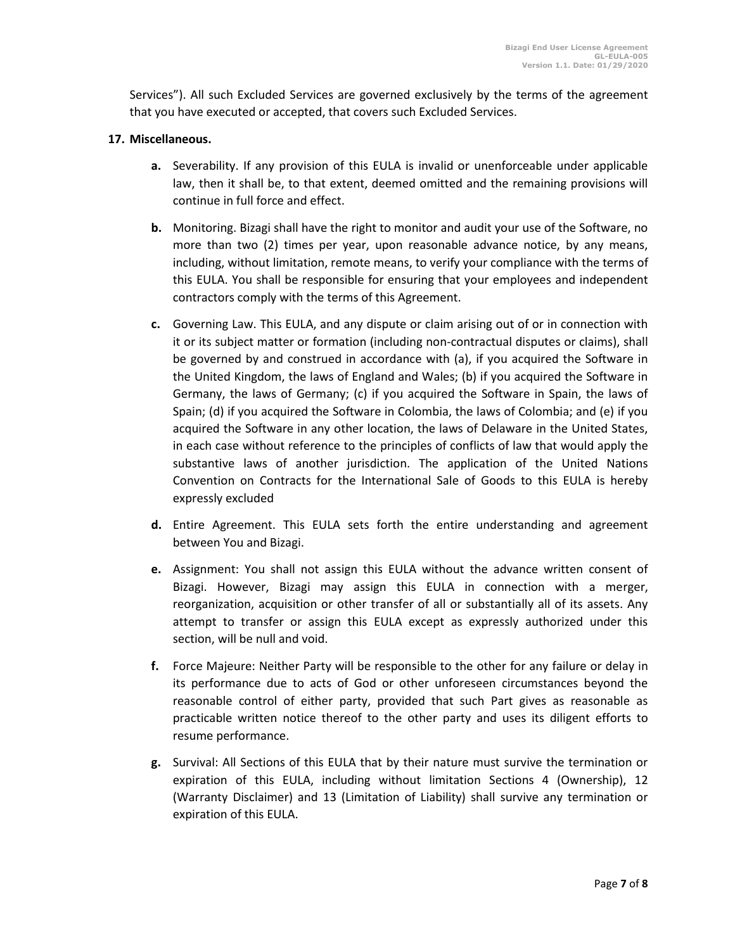Services"). All such Excluded Services are governed exclusively by the terms of the agreement that you have executed or accepted, that covers such Excluded Services.

## **17. Miscellaneous.**

- **a.** Severability. If any provision of this EULA is invalid or unenforceable under applicable law, then it shall be, to that extent, deemed omitted and the remaining provisions will continue in full force and effect.
- **b.** Monitoring. Bizagi shall have the right to monitor and audit your use of the Software, no more than two (2) times per year, upon reasonable advance notice, by any means, including, without limitation, remote means, to verify your compliance with the terms of this EULA. You shall be responsible for ensuring that your employees and independent contractors comply with the terms of this Agreement.
- **c.** Governing Law. This EULA, and any dispute or claim arising out of or in connection with it or its subject matter or formation (including non-contractual disputes or claims), shall be governed by and construed in accordance with (a), if you acquired the Software in the United Kingdom, the laws of England and Wales; (b) if you acquired the Software in Germany, the laws of Germany; (c) if you acquired the Software in Spain, the laws of Spain; (d) if you acquired the Software in Colombia, the laws of Colombia; and (e) if you acquired the Software in any other location, the laws of Delaware in the United States, in each case without reference to the principles of conflicts of law that would apply the substantive laws of another jurisdiction. The application of the United Nations Convention on Contracts for the International Sale of Goods to this EULA is hereby expressly excluded
- **d.** Entire Agreement. This EULA sets forth the entire understanding and agreement between You and Bizagi.
- **e.** Assignment: You shall not assign this EULA without the advance written consent of Bizagi. However, Bizagi may assign this EULA in connection with a merger, reorganization, acquisition or other transfer of all or substantially all of its assets. Any attempt to transfer or assign this EULA except as expressly authorized under this section, will be null and void.
- **f.** Force Majeure: Neither Party will be responsible to the other for any failure or delay in its performance due to acts of God or other unforeseen circumstances beyond the reasonable control of either party, provided that such Part gives as reasonable as practicable written notice thereof to the other party and uses its diligent efforts to resume performance.
- **g.** Survival: All Sections of this EULA that by their nature must survive the termination or expiration of this EULA, including without limitation Sections 4 (Ownership), 12 (Warranty Disclaimer) and 13 (Limitation of Liability) shall survive any termination or expiration of this EULA.